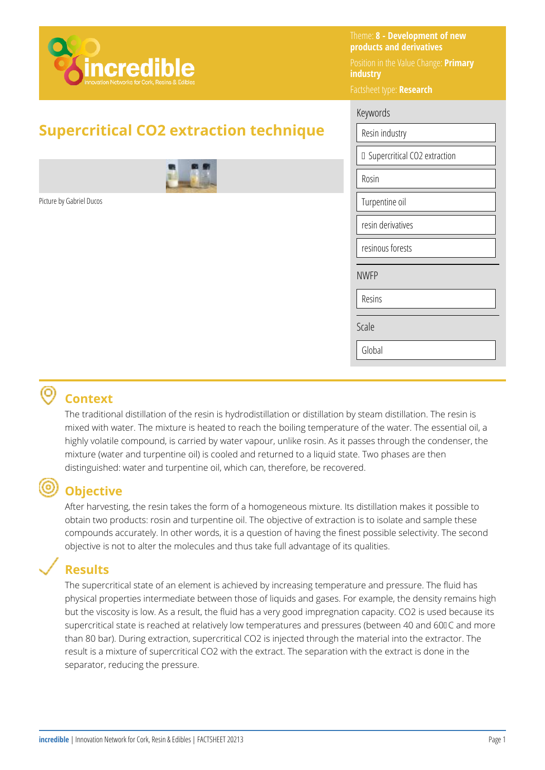

# **Supercritical CO2 extraction technique**



Picture by Gabriel Ducos

Theme: **8 - Development of new products and derivatives**  Position in the Value Change: **Primary industry** 

Factsheet type: **Research** 

#### Keywords

| Resin industry                 |  |  |
|--------------------------------|--|--|
| □ Supercritical CO2 extraction |  |  |
| Rosin                          |  |  |
| Turpentine oil                 |  |  |
| resin derivatives              |  |  |
| resinous forests               |  |  |
| <b>NWFP</b>                    |  |  |
| Resins                         |  |  |
| Scale                          |  |  |
| Global                         |  |  |
|                                |  |  |

### **Context**

The traditional distillation of the resin is hydrodistillation or distillation by steam distillation. The resin is mixed with water. The mixture is heated to reach the boiling temperature of the water. The essential oil, a highly volatile compound, is carried by water vapour, unlike rosin. As it passes through the condenser, the mixture (water and turpentine oil) is cooled and returned to a liquid state. Two phases are then distinguished: water and turpentine oil, which can, therefore, be recovered.

## **Objective**

After harvesting, the resin takes the form of a homogeneous mixture. Its distillation makes it possible to obtain two products: rosin and turpentine oil. The objective of extraction is to isolate and sample these compounds accurately. In other words, it is a question of having the finest possible selectivity. The second objective is not to alter the molecules and thus take full advantage of its qualities.

# **Results**

The supercritical state of an element is achieved by increasing temperature and pressure. The fluid has physical properties intermediate between those of liquids and gases. For example, the density remains high but the viscosity is low. As a result, the fluid has a very good impregnation capacity. CO2 is used because its supercritical state is reached at relatively low temperatures and pressures (between 40 and 600 C and more than 80 bar). During extraction, supercritical CO2 is injected through the material into the extractor. The result is a mixture of supercritical CO2 with the extract. The separation with the extract is done in the separator, reducing the pressure.